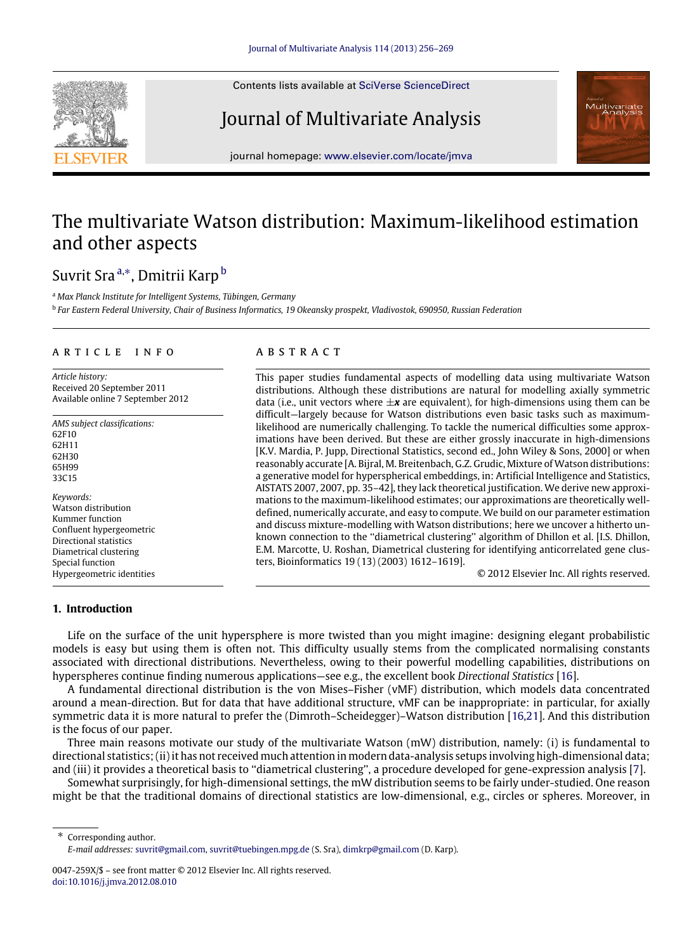Contents lists available at [SciVerse ScienceDirect](http://www.elsevier.com/locate/jmva)

## Journal of Multivariate Analysis



journal homepage: [www.elsevier.com/locate/jmva](http://www.elsevier.com/locate/jmva)

# The multivariate Watson distribution: Maximum-likelihood estimation and other aspects

## Suvrit Sra<sup>[a,](#page-0-0)[∗](#page-0-1)</sup>, Dmitrii Karp<sup>[b](#page-0-2)</sup>

<span id="page-0-0"></span><sup>a</sup> *Max Planck Institute for Intelligent Systems, Tübingen, Germany*

<span id="page-0-2"></span>b *Far Eastern Federal University, Chair of Business Informatics, 19 Okeansky prospekt, Vladivostok, 690950, Russian Federation*

## a r t i c l e i n f o

*Article history:* Received 20 September 2011 Available online 7 September 2012

*AMS subject classifications:* 62F10 62H11 62H30 65H99 33C15 *Keywords:* Watson distribution Kummer function Confluent hypergeometric Directional statistics

Diametrical clustering Special function Hypergeometric identities

## a b s t r a c t

This paper studies fundamental aspects of modelling data using multivariate Watson distributions. Although these distributions are natural for modelling axially symmetric data (i.e., unit vectors where  $\pm x$  are equivalent), for high-dimensions using them can be difficult—largely because for Watson distributions even basic tasks such as maximumlikelihood are numerically challenging. To tackle the numerical difficulties some approximations have been derived. But these are either grossly inaccurate in high-dimensions [K.V. Mardia, P. Jupp, Directional Statistics, second ed., John Wiley & Sons, 2000] or when reasonably accurate [A. Bijral, M. Breitenbach, G.Z. Grudic, Mixture of Watson distributions: a generative model for hyperspherical embeddings, in: Artificial Intelligence and Statistics, AISTATS 2007, 2007, pp. 35–42], they lack theoretical justification. We derive new approximations to the maximum-likelihood estimates; our approximations are theoretically welldefined, numerically accurate, and easy to compute. We build on our parameter estimation and discuss mixture-modelling with Watson distributions; here we uncover a hitherto unknown connection to the ''diametrical clustering'' algorithm of Dhillon et al. [I.S. Dhillon, E.M. Marcotte, U. Roshan, Diametrical clustering for identifying anticorrelated gene clusters, Bioinformatics 19 (13) (2003) 1612–1619].

© 2012 Elsevier Inc. All rights reserved.

#### **1. Introduction**

Life on the surface of the unit hypersphere is more twisted than you might imagine: designing elegant probabilistic models is easy but using them is often not. This difficulty usually stems from the complicated normalising constants associated with directional distributions. Nevertheless, owing to their powerful modelling capabilities, distributions on hyperspheres continue finding numerous applications—see e.g., the excellent book *Directional Statistics* [\[16\]](#page-13-0).

A fundamental directional distribution is the von Mises–Fisher (vMF) distribution, which models data concentrated around a mean-direction. But for data that have additional structure, vMF can be inappropriate: in particular, for axially symmetric data it is more natural to prefer the (Dimroth–Scheidegger)–Watson distribution [\[16,](#page-13-0)[21\]](#page-13-1). And this distribution is the focus of our paper.

Three main reasons motivate our study of the multivariate Watson (mW) distribution, namely: (i) is fundamental to directional statistics; (ii) it has not received much attention in modern data-analysis setups involving high-dimensional data; and (iii) it provides a theoretical basis to ''diametrical clustering'', a procedure developed for gene-expression analysis [\[7\]](#page-13-2).

Somewhat surprisingly, for high-dimensional settings, the mW distribution seems to be fairly under-studied. One reason might be that the traditional domains of directional statistics are low-dimensional, e.g., circles or spheres. Moreover, in

<span id="page-0-1"></span>Corresponding author. *E-mail addresses:* [suvrit@gmail.com,](mailto:suvrit@gmail.com) [suvrit@tuebingen.mpg.de](mailto:suvrit@tuebingen.mpg.de) (S. Sra), [dimkrp@gmail.com](mailto:dimkrp@gmail.com) (D. Karp).

<sup>0047-259</sup>X/\$ – see front matter © 2012 Elsevier Inc. All rights reserved. [doi:10.1016/j.jmva.2012.08.010](http://dx.doi.org/10.1016/j.jmva.2012.08.010)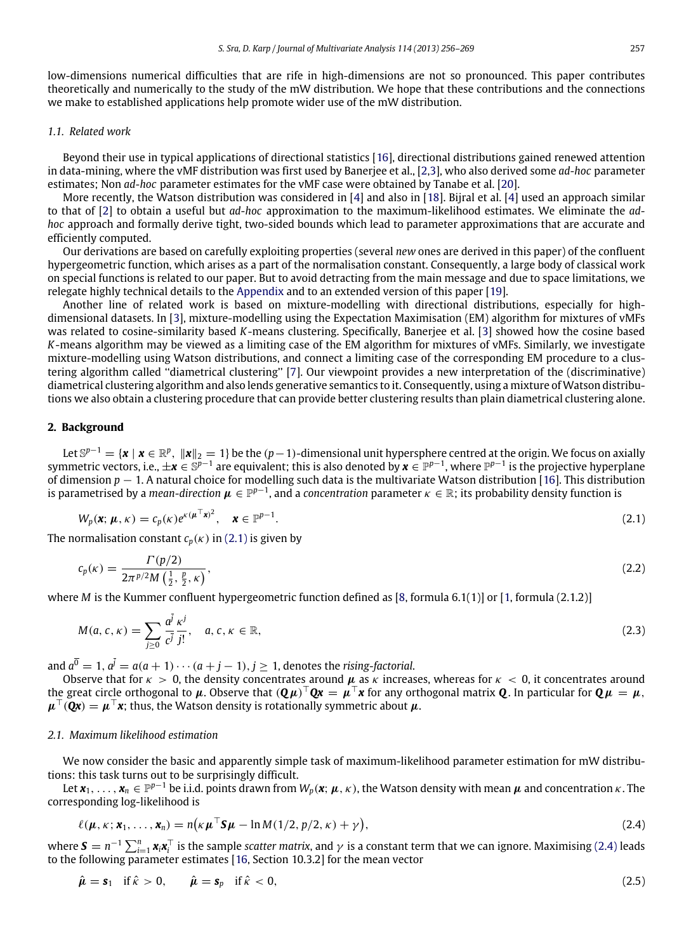low-dimensions numerical difficulties that are rife in high-dimensions are not so pronounced. This paper contributes theoretically and numerically to the study of the mW distribution. We hope that these contributions and the connections we make to established applications help promote wider use of the mW distribution.

#### *1.1. Related work*

Beyond their use in typical applications of directional statistics [\[16\]](#page-13-0), directional distributions gained renewed attention in data-mining, where the vMF distribution was first used by Banerjee et al., [\[2](#page-13-3)[,3\]](#page-13-4), who also derived some *ad-hoc* parameter estimates; Non *ad-hoc* parameter estimates for the vMF case were obtained by Tanabe et al. [\[20\]](#page-13-5).

More recently, the Watson distribution was considered in [\[4\]](#page-13-6) and also in [\[18\]](#page-13-7). Bijral et al. [\[4\]](#page-13-6) used an approach similar to that of [\[2\]](#page-13-3) to obtain a useful but *ad-hoc* approximation to the maximum-likelihood estimates. We eliminate the *adhoc* approach and formally derive tight, two-sided bounds which lead to parameter approximations that are accurate and efficiently computed.

Our derivations are based on carefully exploiting properties (several *new* ones are derived in this paper) of the confluent hypergeometric function, which arises as a part of the normalisation constant. Consequently, a large body of classical work on special functions is related to our paper. But to avoid detracting from the main message and due to space limitations, we relegate highly technical details to the [Appendix](#page-10-0) and to an extended version of this paper [\[19\]](#page-13-8).

Another line of related work is based on mixture-modelling with directional distributions, especially for highdimensional datasets. In [\[3\]](#page-13-4), mixture-modelling using the Expectation Maximisation (EM) algorithm for mixtures of vMFs was related to cosine-similarity based *K*-means clustering. Specifically, Banerjee et al. [\[3\]](#page-13-4) showed how the cosine based *K*-means algorithm may be viewed as a limiting case of the EM algorithm for mixtures of vMFs. Similarly, we investigate mixture-modelling using Watson distributions, and connect a limiting case of the corresponding EM procedure to a clustering algorithm called ''diametrical clustering'' [\[7\]](#page-13-2). Our viewpoint provides a new interpretation of the (discriminative) diametrical clustering algorithm and also lends generative semantics to it. Consequently, using a mixture of Watson distributions we also obtain a clustering procedure that can provide better clustering results than plain diametrical clustering alone.

#### **2. Background**

Let S<sup>p−1</sup> = {**x** | **x** ∈  $\mathbb{R}^p$ ,  $\|$ **x** $\|_2=1$ } be the (p−1)-dimensional unit hypersphere centred at the origin. We focus on axially symmetric vectors, i.e.,  $\pm x \in \mathbb{S}^{p-1}$  are equivalent; this is also denoted by  $x \in \mathbb{P}^{p-1}$ , where  $\mathbb{P}^{p-1}$  is the projective hyperplane of dimension *p* − 1. A natural choice for modelling such data is the multivariate Watson distribution [\[16\]](#page-13-0). This distribution is parametrised by a *mean-direction*  $\mu \in \mathbb{P}^{p-1}$ , and a *concentration* parameter  $\kappa \in \mathbb{R}$ ; its probability density function is

<span id="page-1-0"></span>
$$
W_p(\mathbf{x}; \boldsymbol{\mu}, \kappa) = c_p(\kappa) e^{\kappa(\boldsymbol{\mu}^\top \mathbf{x})^2}, \quad \mathbf{x} \in \mathbb{P}^{p-1}.
$$
\n(2.1)

The normalisation constant  $c_p(\kappa)$  in [\(2.1\)](#page-1-0) is given by

$$
c_p(\kappa) = \frac{\Gamma(p/2)}{2\pi^{p/2}M\left(\frac{1}{2},\frac{p}{2},\kappa\right)},\tag{2.2}
$$

where *M* is the Kummer confluent hypergeometric function defined as [\[8,](#page-13-9) formula 6.1(1)] or [\[1,](#page-13-10) formula (2.1.2)]

$$
M(a, c, \kappa) = \sum_{j \ge 0} \frac{a^j}{c^j} \frac{\kappa^j}{j!}, \quad a, c, \kappa \in \mathbb{R}, \tag{2.3}
$$

and  $a^0 = 1$ ,  $a^j = a(a + 1) \cdots (a + j - 1)$ ,  $j \ge 1$ , denotes the *rising-factorial*.

Observe that for  $\kappa > 0$ , the density concentrates around  $\mu$  as  $\kappa$  increases, whereas for  $\kappa < 0$ , it concentrates around the great circle orthogonal to  $\mu$ . Observe that  $(Q\mu)^\top Qx = \mu^\top x$  for any orthogonal matrix  $Q$ . In particular for  $Q\mu\,=\,\mu$ ,  $\mu^{\top}(\mathbf{Qx}) = \mu^{\top}\mathbf{x}$ ; thus, the Watson density is rotationally symmetric about  $\mu$ .

### *2.1. Maximum likelihood estimation*

We now consider the basic and apparently simple task of maximum-likelihood parameter estimation for mW distributions: this task turns out to be surprisingly difficult.

Let  $x_1,\ldots,x_n\in\mathbb{P}^{p-1}$  be i.i.d. points drawn from  $W_p(x;\mu,\kappa)$ , the Watson density with mean  $\mu$  and concentration  $\kappa$ . The corresponding log-likelihood is

<span id="page-1-1"></span>
$$
\ell(\boldsymbol{\mu}, \kappa; \mathbf{x}_1, \dots, \mathbf{x}_n) = n(\kappa \boldsymbol{\mu}^\top \mathbf{S} \boldsymbol{\mu} - \ln M(1/2, p/2, \kappa) + \gamma),
$$
\n(2.4)

where  $S=n^{-1}\sum_{i=1}^n x_i x_i^\top$  is the sample *scatter matrix*, and  $\gamma$  is a constant term that we can ignore. Maximising [\(2.4\)](#page-1-1) leads to the following parameter estimates [\[16,](#page-13-0) Section 10.3.2] for the mean vector

<span id="page-1-2"></span>
$$
\hat{\mu} = \mathbf{s}_1 \quad \text{if } \hat{\kappa} > 0, \qquad \hat{\mu} = \mathbf{s}_p \quad \text{if } \hat{\kappa} < 0,
$$
\n
$$
\tag{2.5}
$$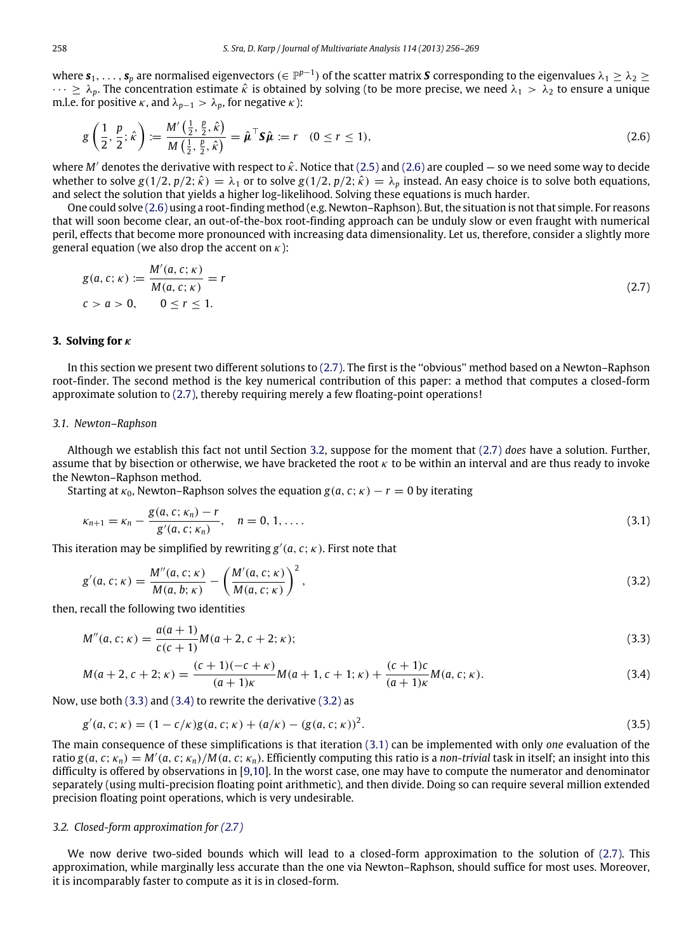where  $s_1,\ldots,s_p$  are normalised eigenvectors ( $\in\mathbb P^{p-1}$ ) of the scatter matrix  $S$  corresponding to the eigenvalues  $\lambda_1\ge\lambda_2\ge$  $\cdots \ge \lambda_p$ . The concentration estimate  $\hat{\kappa}$  is obtained by solving (to be more precise, we need  $\lambda_1 > \lambda_2$  to ensure a unique m.l.e. for positive  $\kappa$ , and  $\lambda_{p-1} > \lambda_p$ , for negative  $\kappa$ ):

<span id="page-2-0"></span>
$$
g\left(\frac{1}{2},\frac{p}{2};\hat{\kappa}\right) := \frac{M'\left(\frac{1}{2},\frac{p}{2},\hat{\kappa}\right)}{M\left(\frac{1}{2},\frac{p}{2},\hat{\kappa}\right)} = \hat{\mu}^{\top}\mathbf{S}\hat{\mu} := r \quad (0 \le r \le 1),\tag{2.6}
$$

where *M'* denotes the derivative with respect to  $\hat{\kappa}$ . Notice that [\(2.5\)](#page-1-2) and [\(2.6\)](#page-2-0) are coupled — so we need some way to decide whether to solve  $g(1/2, p/2; \hat{k}) = \lambda_1$  or to solve  $g(1/2, p/2; \hat{k}) = \lambda_p$  instead. An easy choice is to solve both equations, and select the solution that yields a higher log-likelihood. Solving these equations is much harder.

One could solve [\(2.6\)](#page-2-0) using a root-finding method (e.g. Newton–Raphson). But, the situation is not that simple. For reasons that will soon become clear, an out-of-the-box root-finding approach can be unduly slow or even fraught with numerical peril, effects that become more pronounced with increasing data dimensionality. Let us, therefore, consider a slightly more general equation (we also drop the accent on  $\kappa$ ):

<span id="page-2-1"></span>
$$
g(a, c; \kappa) := \frac{M'(a, c; \kappa)}{M(a, c; \kappa)} = r
$$
  
\n
$$
c > a > 0, \qquad 0 \le r \le 1.
$$
\n(2.7)

#### **3. Solving for** κ

In this section we present two different solutions to [\(2.7\).](#page-2-1) The first is the ''obvious'' method based on a Newton–Raphson root-finder. The second method is the key numerical contribution of this paper: a method that computes a closed-form approximate solution to [\(2.7\),](#page-2-1) thereby requiring merely a few floating-point operations!

#### *3.1. Newton–Raphson*

Although we establish this fact not until Section [3.2,](#page-2-2) suppose for the moment that [\(2.7\)](#page-2-1) *does* have a solution. Further, assume that by bisection or otherwise, we have bracketed the root  $\kappa$  to be within an interval and are thus ready to invoke the Newton–Raphson method.

Starting at  $\kappa_0$ , Newton–Raphson solves the equation  $g(a, c; \kappa) - r = 0$  by iterating

<span id="page-2-6"></span>
$$
\kappa_{n+1} = \kappa_n - \frac{g(a, c; \kappa_n) - r}{g'(a, c; \kappa_n)}, \quad n = 0, 1, \dots
$$
\n(3.1)

This iteration may be simplified by rewriting  $g'(a, c; \kappa)$ . First note that

<span id="page-2-5"></span>
$$
g'(a, c; \kappa) = \frac{M''(a, c; \kappa)}{M(a, b; \kappa)} - \left(\frac{M'(a, c; \kappa)}{M(a, c; \kappa)}\right)^2,
$$
\n(3.2)

then, recall the following two identities

<span id="page-2-3"></span>
$$
M''(a, c; \kappa) = \frac{a(a+1)}{c(c+1)} M(a+2, c+2; \kappa);
$$
\n(3.3)

<span id="page-2-4"></span>
$$
M(a+2, c+2; \kappa) = \frac{(c+1)(-c+\kappa)}{(a+1)\kappa}M(a+1, c+1; \kappa) + \frac{(c+1)c}{(a+1)\kappa}M(a, c; \kappa).
$$
 (3.4)

Now, use both [\(3.3\)](#page-2-3) and [\(3.4\)](#page-2-4) to rewrite the derivative [\(3.2\)](#page-2-5) as

$$
g'(a, c; \kappa) = (1 - c/\kappa)g(a, c; \kappa) + (a/\kappa) - (g(a, c; \kappa))^2.
$$
\n(3.5)

The main consequence of these simplifications is that iteration [\(3.1\)](#page-2-6) can be implemented with only *one* evaluation of the ratio  $g(a, c; \kappa_n) = M'(a, c; \kappa_n)/M(a, c; \kappa_n)$ . Efficiently computing this ratio is a *non-trivial* task in itself; an insight into this difficulty is offered by observations in [\[9,](#page-13-11)[10\]](#page-13-12). In the worst case, one may have to compute the numerator and denominator separately (using multi-precision floating point arithmetic), and then divide. Doing so can require several million extended precision floating point operations, which is very undesirable.

#### <span id="page-2-2"></span>*3.2. Closed-form approximation for [\(2.7\)](#page-2-1)*

We now derive two-sided bounds which will lead to a closed-form approximation to the solution of [\(2.7\).](#page-2-1) This approximation, while marginally less accurate than the one via Newton–Raphson, should suffice for most uses. Moreover, it is incomparably faster to compute as it is in closed-form.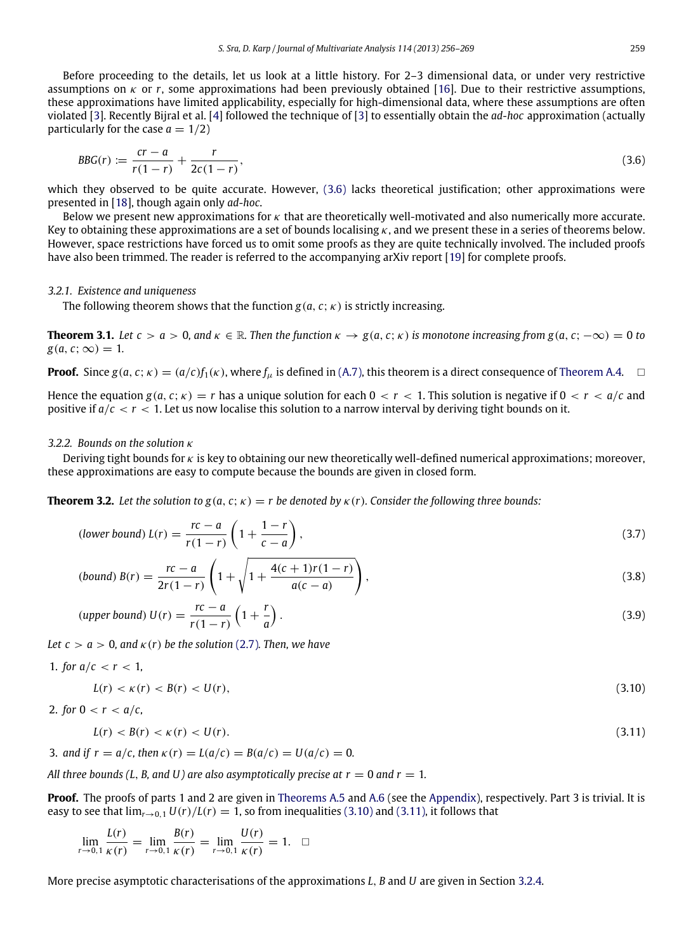Before proceeding to the details, let us look at a little history. For 2–3 dimensional data, or under very restrictive assumptions on  $\kappa$  or r, some approximations had been previously obtained [\[16\]](#page-13-0). Due to their restrictive assumptions, these approximations have limited applicability, especially for high-dimensional data, where these assumptions are often violated [\[3\]](#page-13-4). Recently Bijral et al. [\[4\]](#page-13-6) followed the technique of [\[3\]](#page-13-4) to essentially obtain the *ad-hoc* approximation (actually particularly for the case  $a = 1/2$ )

<span id="page-3-0"></span>
$$
BBG(r) := \frac{cr - a}{r(1 - r)} + \frac{r}{2c(1 - r)},
$$
\n(3.6)

which they observed to be quite accurate. However, [\(3.6\)](#page-3-0) lacks theoretical justification; other approximations were presented in [\[18\]](#page-13-7), though again only *ad-hoc*.

Below we present new approximations for  $\kappa$  that are theoretically well-motivated and also numerically more accurate. Key to obtaining these approximations are a set of bounds localising  $\kappa$ , and we present these in a series of theorems below. However, space restrictions have forced us to omit some proofs as they are quite technically involved. The included proofs have also been trimmed. The reader is referred to the accompanying arXiv report [\[19\]](#page-13-8) for complete proofs.

#### *3.2.1. Existence and uniqueness*

The following theorem shows that the function  $g(a, c; \kappa)$  is strictly increasing.

**Theorem 3.1.** Let  $c > a > 0$ , and  $\kappa \in \mathbb{R}$ . Then the function  $\kappa \to g(a, c; \kappa)$  is monotone increasing from  $g(a, c; -\infty) = 0$  to  $g(a, c; \infty) = 1$ .

**Proof.** Since  $g(a, c; \kappa) = (a/c)f_1(\kappa)$ , where  $f_\mu$  is defined in [\(A.7\),](#page-10-1) this theorem is a direct consequence of [Theorem A.4.](#page-11-0)

Hence the equation  $g(a, c; \kappa) = r$  has a unique solution for each  $0 < r < 1$ . This solution is negative if  $0 < r < a/c$  and positive if  $a/c < r < 1$ . Let us now localise this solution to a narrow interval by deriving tight bounds on it.

## *3.2.2. Bounds on the solution* κ

Deriving tight bounds for  $\kappa$  is key to obtaining our new theoretically well-defined numerical approximations; moreover, these approximations are easy to compute because the bounds are given in closed form.

**Theorem 3.2.** Let the solution to  $g(a, c; \kappa) = r$  be denoted by  $\kappa(r)$ . Consider the following three bounds:

<span id="page-3-4"></span><span id="page-3-3"></span>
$$
\text{(lower bound)}\ L(r) = \frac{rc - a}{r(1 - r)} \left( 1 + \frac{1 - r}{c - a} \right),\tag{3.7}
$$

<span id="page-3-5"></span>(bound) 
$$
B(r) = \frac{rc - a}{2r(1 - r)} \left( 1 + \sqrt{1 + \frac{4(c + 1)r(1 - r)}{a(c - a)}} \right),
$$
 (3.8)

$$
(upper bound) U(r) = \frac{rc - a}{r(1 - r)} \left(1 + \frac{r}{a}\right).
$$
\n(3.9)

*Let*  $c > a > 0$ , and  $\kappa(r)$  *be the solution* [\(2.7\)](#page-2-1). Then, we have

$$
1. \text{ for } a/c < r < 1,
$$

<span id="page-3-6"></span>
$$
L(r) < \kappa(r) < B(r) < U(r),\tag{3.10}
$$

2. for 
$$
0 < r < a/c
$$
,

<span id="page-3-2"></span><span id="page-3-1"></span>
$$
L(r) < B(r) < \kappa(r) < U(r). \tag{3.11}
$$

3. and if 
$$
r = a/c
$$
, then  $\kappa(r) = L(a/c) = B(a/c) = U(a/c) = 0$ .

*All three bounds (L, B, and U) are also asymptotically precise at*  $r = 0$  *and*  $r = 1$ *.* 

**Proof.** The proofs of parts 1 and 2 are given in [Theorems A.5](#page-12-0) and [A.6](#page-13-13) (see the [Appendix\)](#page-10-0), respectively. Part 3 is trivial. It is easy to see that  $\lim_{r\to 0,1} U(r)/L(r) = 1$ , so from inequalities [\(3.10\)](#page-3-1) and [\(3.11\),](#page-3-2) it follows that

$$
\lim_{r \to 0, 1} \frac{L(r)}{\kappa(r)} = \lim_{r \to 0, 1} \frac{B(r)}{\kappa(r)} = \lim_{r \to 0, 1} \frac{U(r)}{\kappa(r)} = 1. \quad \Box
$$

More precise asymptotic characterisations of the approximations *L*, *B* and *U* are given in Section [3.2.4.](#page-4-0)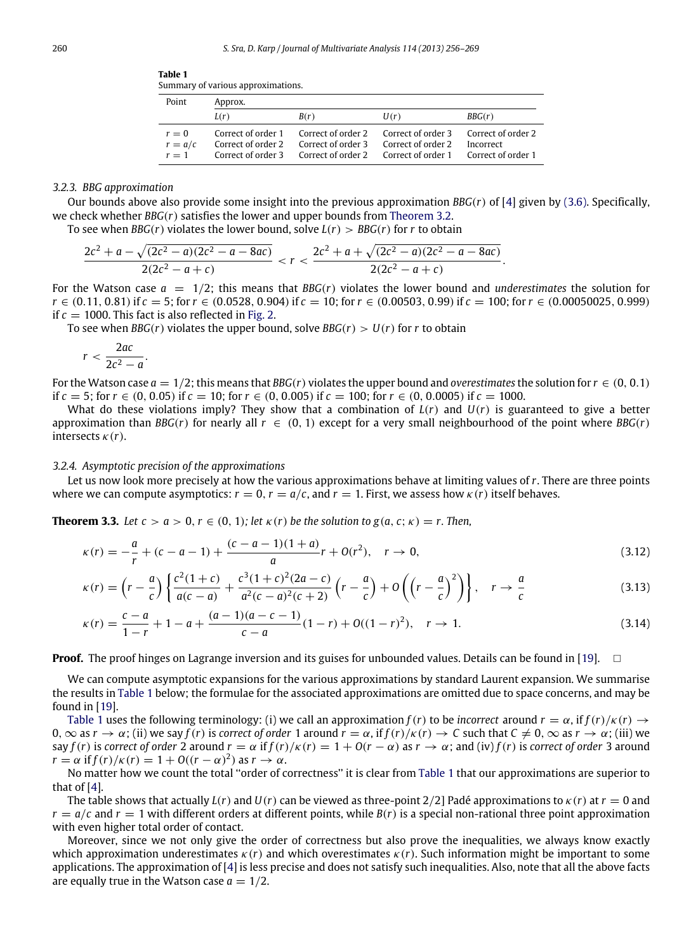| rabie i |                                    |  |
|---------|------------------------------------|--|
|         | Summary of various approximations. |  |

<span id="page-4-1"></span>**Table 1**

| Point                       | Approx.                                  |                                                                                |                    |                                                       |  |
|-----------------------------|------------------------------------------|--------------------------------------------------------------------------------|--------------------|-------------------------------------------------------|--|
|                             | L(r)                                     | B(r)                                                                           | U(r)               | BBG(r)                                                |  |
| $r=0$<br>$r = a/c$<br>$r=1$ | Correct of order 2<br>Correct of order 3 | Correct of order 1 Correct of order 2 Correct of order 3<br>Correct of order 3 | Correct of order 2 | Correct of order 2<br>Incorrect<br>Correct of order 1 |  |

## *3.2.3. BBG approximation*

Our bounds above also provide some insight into the previous approximation *BBG*(*r*) of [\[4\]](#page-13-6) given by [\(3.6\).](#page-3-0) Specifically, we check whether *BBG*(*r*) satisfies the lower and upper bounds from [Theorem 3.2.](#page-3-3)

To see when *BBG*(*r*) violates the lower bound, solve  $L(r) > BBG(r)$  for *r* to obtain

$$
\frac{2c^2 + a - \sqrt{(2c^2 - a)(2c^2 - a - 8ac)}}{2(2c^2 - a + c)} < r < \frac{2c^2 + a + \sqrt{(2c^2 - a)(2c^2 - a - 8ac)}}{2(2c^2 - a + c)}
$$

For the Watson case  $a = 1/2$ ; this means that *BBG*(*r*) violates the lower bound and *underestimates* the solution for *r* ∈ (0.11, 0.81) if *c* = 5; for *r* ∈ (0.0528, 0.904) if *c* = 10; for *r* ∈ (0.00503, 0.99) if *c* = 100; for *r* ∈ (0.00050025, 0.999) if  $c = 1000$ . This fact is also reflected in [Fig. 2.](#page-7-0)

.

To see when *BBG*(*r*) violates the upper bound, solve *BBG*(*r*)  $> U(r)$  for *r* to obtain

$$
r < \frac{2ac}{2c^2 - a}.
$$

For the Watson case  $a = 1/2$ ; this means that *BBG*(*r*) violates the upper bound and *overestimates* the solution for  $r \in (0, 0.1)$ if  $c = 5$ ; for  $r \in (0, 0.05)$  if  $c = 10$ ; for  $r \in (0, 0.005)$  if  $c = 100$ ; for  $r \in (0, 0.0005)$  if  $c = 1000$ .

What do these violations imply? They show that a combination of  $L(r)$  and  $U(r)$  is guaranteed to give a better approximation than *BBG*(*r*) for nearly all  $r \in (0, 1)$  except for a very small neighbourhood of the point where *BBG*(*r*) intersects  $\kappa(r)$ .

#### <span id="page-4-0"></span>*3.2.4. Asymptotic precision of the approximations*

Let us now look more precisely at how the various approximations behave at limiting values of *r*. There are three points where we can compute asymptotics:  $r = 0$ ,  $r = a/c$ , and  $r = 1$ . First, we assess how  $\kappa(r)$  itself behaves.

**Theorem 3.3.** *Let*  $c > a > 0$ ,  $r \in (0, 1)$ ; *let*  $\kappa(r)$  *be the solution to*  $g(a, c; \kappa) = r$ . *Then,* 

$$
\kappa(r) = -\frac{a}{r} + (c - a - 1) + \frac{(c - a - 1)(1 + a)}{a}r + O(r^2), \quad r \to 0,
$$
\n(3.12)

$$
\kappa(r) = \left(r - \frac{a}{c}\right) \left\{ \frac{c^2(1+c)}{a(c-a)} + \frac{c^3(1+c)^2(2a-c)}{a^2(c-a)^2(c+2)} \left(r - \frac{a}{c}\right) + O\left(\left(r - \frac{a}{c}\right)^2\right) \right\}, \quad r \to \frac{a}{c}
$$
(3.13)

$$
\kappa(r) = \frac{c-a}{1-r} + 1 - a + \frac{(a-1)(a-c-1)}{c-a} (1-r) + O((1-r)^2), \quad r \to 1.
$$
\n(3.14)

**Proof.** The proof hinges on Lagrange inversion and its guises for unbounded values. Details can be found in [\[19\]](#page-13-8).  $\Box$ 

We can compute asymptotic expansions for the various approximations by standard Laurent expansion. We summarise the results in [Table 1](#page-4-1) below; the formulae for the associated approximations are omitted due to space concerns, and may be found in [\[19\]](#page-13-8).

[Table 1](#page-4-1) uses the following terminology: (i) we call an approximation  $f(r)$  to be *incorrect* around  $r = \alpha$ , if  $f(r)/\kappa(r) \rightarrow$ 0,  $\infty$  as  $r \to \alpha$ ; (ii) we say  $f(r)$  is *correct of order* 1 around  $r = \alpha$ , if  $f(r)/\kappa(r) \to C$  such that  $C \neq 0$ ,  $\infty$  as  $r \to \alpha$ ; (iii) we say *f*(*r*) is *correct of order* 2 around  $r = \alpha$  if  $f(r)/\kappa(r) = 1 + O(r - \alpha)$  as  $r \to \alpha$ ; and (iv)  $f(r)$  is *correct of order* 3 around  $r = \alpha$  if  $f(r)/\kappa(r) = 1 + O((r - \alpha)^2)$  as  $r \to \alpha$ .

No matter how we count the total ''order of correctness'' it is clear from [Table 1](#page-4-1) that our approximations are superior to that of [\[4\]](#page-13-6).

The table shows that actually  $L(r)$  and  $U(r)$  can be viewed as three-point 2/2] Padé approximations to  $\kappa(r)$  at  $r = 0$  and  $r = a/c$  and  $r = 1$  with different orders at different points, while  $B(r)$  is a special non-rational three point approximation with even higher total order of contact.

Moreover, since we not only give the order of correctness but also prove the inequalities, we always know exactly which approximation underestimates κ(*r*) and which overestimates κ(*r*). Such information might be important to some applications. The approximation of [\[4\]](#page-13-6) is less precise and does not satisfy such inequalities. Also, note that all the above facts are equally true in the Watson case  $a = 1/2$ .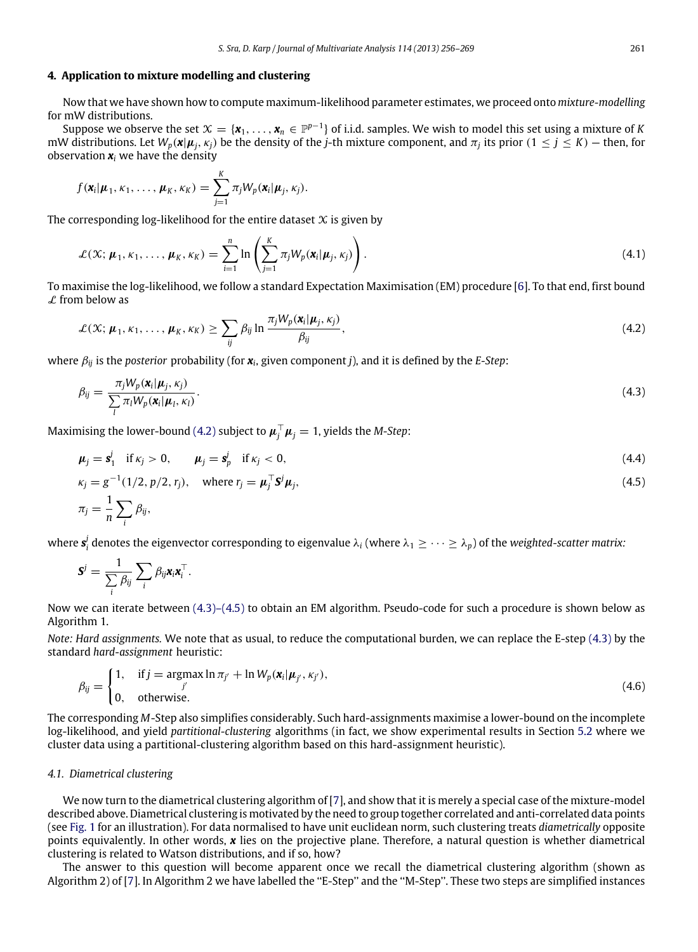#### **4. Application to mixture modelling and clustering**

Now that we have shown how to compute maximum-likelihood parameter estimates, we proceed onto *mixture-modelling* for mW distributions.

Suppose we observe the set  $\mathfrak{X}=\{\pmb{x}_1,\ldots,\pmb{x}_n\in\mathbb{P}^{p-1}\}$  of i.i.d. samples. We wish to model this set using a mixture of K mW distributions. Let  $W_p(x|\mu_j, \kappa_j)$  be the density of the *j*-th mixture component, and  $\pi_j$  its prior  $(1 \le j \le K)$  — then, for observation  $x_i$  we have the density

$$
f(\mathbf{x}_i|\boldsymbol{\mu}_1,\kappa_1,\ldots,\boldsymbol{\mu}_K,\kappa_K)=\sum_{j=1}^K \pi_j W_p(\mathbf{x}_i|\boldsymbol{\mu}_j,\kappa_j).
$$

The corresponding log-likelihood for the entire dataset  $X$  is given by

$$
\mathcal{L}(\mathcal{X}; \boldsymbol{\mu}_1, \kappa_1, \dots, \boldsymbol{\mu}_K, \kappa_K) = \sum_{i=1}^n \ln \left( \sum_{j=1}^K \pi_j W_p(\boldsymbol{x}_i | \boldsymbol{\mu}_j, \kappa_j) \right).
$$
(4.1)

To maximise the log-likelihood, we follow a standard Expectation Maximisation (EM) procedure [\[6\]](#page-13-14). To that end, first bound  $\mathcal L$  from below as

<span id="page-5-0"></span>
$$
\mathcal{L}(\mathcal{X}; \boldsymbol{\mu}_1, \kappa_1, \dots, \boldsymbol{\mu}_K, \kappa_K) \ge \sum_{ij} \beta_{ij} \ln \frac{\pi_j W_p(\mathbf{x}_i | \boldsymbol{\mu}_j, \kappa_j)}{\beta_{ij}},
$$
\n(4.2)

where β*ij* is the *posterior* probability (for *x<sup>i</sup>* , given component *j*), and it is defined by the *E-Step*:

<span id="page-5-1"></span>
$$
\beta_{ij} = \frac{\pi_j W_p(\mathbf{x}_i | \boldsymbol{\mu}_j, \kappa_j)}{\sum_l \pi_l W_p(\mathbf{x}_i | \boldsymbol{\mu}_l, \kappa_l)}.
$$
\n(4.3)

Maximising the lower-bound [\(4.2\)](#page-5-0) subject to  $\pmb{\mu}_j^\top \pmb{\mu}_j = 1$ , yields the *M-Step*:

<span id="page-5-3"></span>
$$
\mu_j = \mathbf{s}_1^j \quad \text{if } \kappa_j > 0, \qquad \mu_j = \mathbf{s}_p^j \quad \text{if } \kappa_j < 0,
$$
\n(4.4)

$$
\kappa_j = g^{-1}(1/2, p/2, r_j), \quad \text{where } r_j = \boldsymbol{\mu}_j^\top \mathbf{S}^j \boldsymbol{\mu}_j,
$$
  

$$
\pi_j = \frac{1}{n} \sum_i \beta_{ij},
$$
 (4.5)

where  $s_i^j$  denotes the eigenvector corresponding to eigenvalue  $\lambda_i$  (where  $\lambda_1\geq\cdots\geq\lambda_p)$  of the *weighted-scatter matrix:* 

$$
\mathbf{S}^j = \frac{1}{\sum_i \beta_{ij}} \sum_i \beta_{ij} \mathbf{x}_i \mathbf{x}_i^{\top}.
$$

Now we can iterate between [\(4.3\)–\(4.5\)](#page-5-1) to obtain an EM algorithm. Pseudo-code for such a procedure is shown below as Algorithm 1.

*Note: Hard assignments.* We note that as usual, to reduce the computational burden, we can replace the E-step [\(4.3\)](#page-5-1) by the standard *hard-assignment* heuristic:

<span id="page-5-2"></span>
$$
\beta_{ij} = \begin{cases} 1, & \text{if } j = \operatorname{argmax} \ln \pi_{j'} + \ln W_p(\mathbf{x}_i | \boldsymbol{\mu}_{j'}, \kappa_{j'}), \\ 0, & \text{otherwise.} \end{cases} \tag{4.6}
$$

The corresponding *M*-Step also simplifies considerably. Such hard-assignments maximise a lower-bound on the incomplete log-likelihood, and yield *partitional-clustering* algorithms (in fact, we show experimental results in Section [5.2](#page-8-0) where we cluster data using a partitional-clustering algorithm based on this hard-assignment heuristic).

#### *4.1. Diametrical clustering*

We now turn to the diametrical clustering algorithm of [\[7\]](#page-13-2), and show that it is merely a special case of the mixture-model described above. Diametrical clustering is motivated by the need to group together correlated and anti-correlated data points (see [Fig. 1](#page-6-0) for an illustration). For data normalised to have unit euclidean norm, such clustering treats *diametrically* opposite points equivalently. In other words, *x* lies on the projective plane. Therefore, a natural question is whether diametrical clustering is related to Watson distributions, and if so, how?

The answer to this question will become apparent once we recall the diametrical clustering algorithm (shown as Algorithm 2) of [\[7\]](#page-13-2). In Algorithm 2 we have labelled the ''E-Step'' and the ''M-Step''. These two steps are simplified instances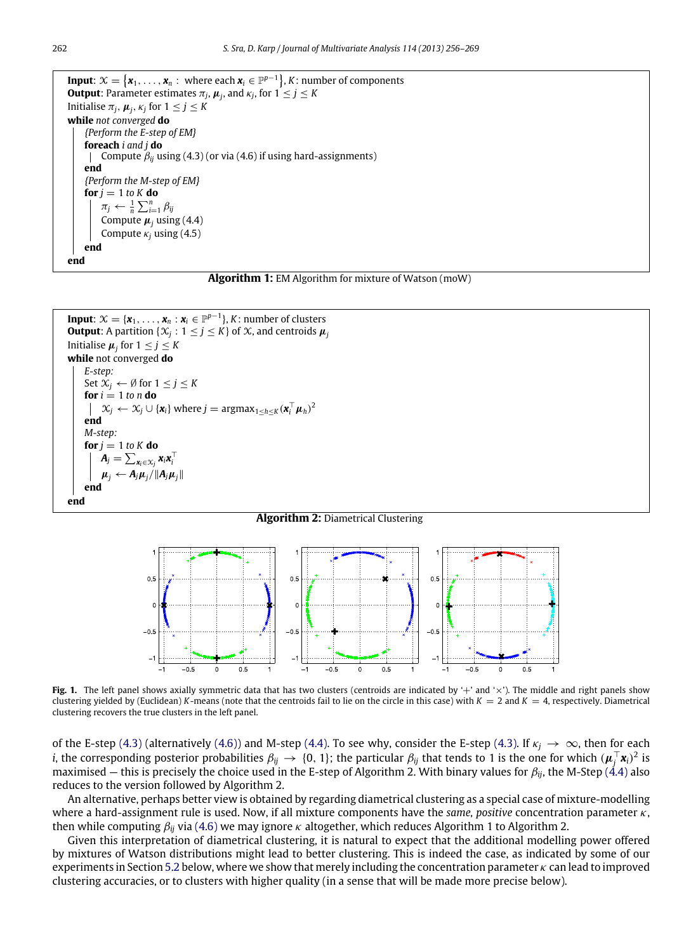```
Input: X = \{x_1, \ldots, x_n : \text{ where each } x_i \in \mathbb{P}^{p-1}\}, K: \text{ number of components}Output: Parameter estimates \pi_j, \boldsymbol{\mu}_j, and \kappa_j, for 1\leq j\leq KInitialise \pi_j, \mu_j, \kappa_j for 1 \leq j \leq Kwhile not converged do
     {Perform the E-step of EM}
     foreach i and j do
         Compute \beta_{ii} using (4.3) (or via (4.6) if using hard-assignments)
      \mathbf{I}end
     {Perform the M-step of EM}
     for i = 1 to K do
          \pi_j \leftarrow \frac{1}{n} \sum_{i=1}^n \beta_{ij}Compute \mu_i using (4.4)
          Compute \kappa<sup>i</sup> using (4.5)
    end
end
```


```
Input: \mathcal{X} = {\mathbf{x}_1, \dots, \mathbf{x}_n : \mathbf{x}_i \in \mathbb{P}^{p-1}}, K: number of clusters
Output: A partition \{X_j : 1 \le j \le K\} of X, and centroids \mu_jInitialise \mu_j for 1 \leq j \leq Kwhile not converged do
      E-step:
      Set \mathcal{X}_i \leftarrow \emptyset for 1 \leq j \leq Kfor i = 1 to n do
              \mathcal{X}_j ← \mathcal{X}_j ∪ {\mathbf{x}_i} where j = argma\mathbf{x}_{1 \leq h \leq K} (\mathbf{x}_i^{\top} \boldsymbol{\mu}_h)^2end
      M-step:
      for j = 1 to K do
              A_j = \sum_{\mathbf{x}_i \in \mathcal{X}_j} \mathbf{x}_i \mathbf{x}_i^\top\mu_j \leftarrow A_j \mu_j / \|A_j \mu_j\|end
end
```
#### **Algorithm 2:** Diametrical Clustering

<span id="page-6-0"></span>

Fig. 1. The left panel shows axially symmetric data that has two clusters (centroids are indicated by '+' and '×'). The middle and right panels show clustering yielded by (Euclidean) *K*-means (note that the centroids fail to lie on the circle in this case) with  $K = 2$  and  $K = 4$ , respectively. Diametrical clustering recovers the true clusters in the left panel.

of the E-step [\(4.3\)](#page-5-1) (alternatively [\(4.6\)\)](#page-5-2) and M-step [\(4.4\).](#page-5-3) To see why, consider the E-step [\(4.3\).](#page-5-1) If  $\kappa_j \to \infty$ , then for each *i*, the corresponding posterior probabilities  $\beta_{ij} \to \{0, 1\}$ ; the particular  $\beta_{ij}$  that tends to 1 is the one for which  $(\pmb{\mu}_j^\top \pmb{x}_i)^2$  is maximised — this is precisely the choice used in the E-step of Algorithm 2. With binary values for β*ij*, the M-Step [\(4.4\)](#page-5-3) also reduces to the version followed by Algorithm 2.

An alternative, perhaps better view is obtained by regarding diametrical clustering as a special case of mixture-modelling where a hard-assignment rule is used. Now, if all mixture components have the *same, positive* concentration parameter κ, then while computing β*ij* via [\(4.6\)](#page-5-2) we may ignore κ altogether, which reduces Algorithm 1 to Algorithm 2.

Given this interpretation of diametrical clustering, it is natural to expect that the additional modelling power offered by mixtures of Watson distributions might lead to better clustering. This is indeed the case, as indicated by some of our experiments in Section [5.2](#page-8-0) below, where we show that merely including the concentration parameter  $\kappa$  can lead to improved clustering accuracies, or to clusters with higher quality (in a sense that will be made more precise below).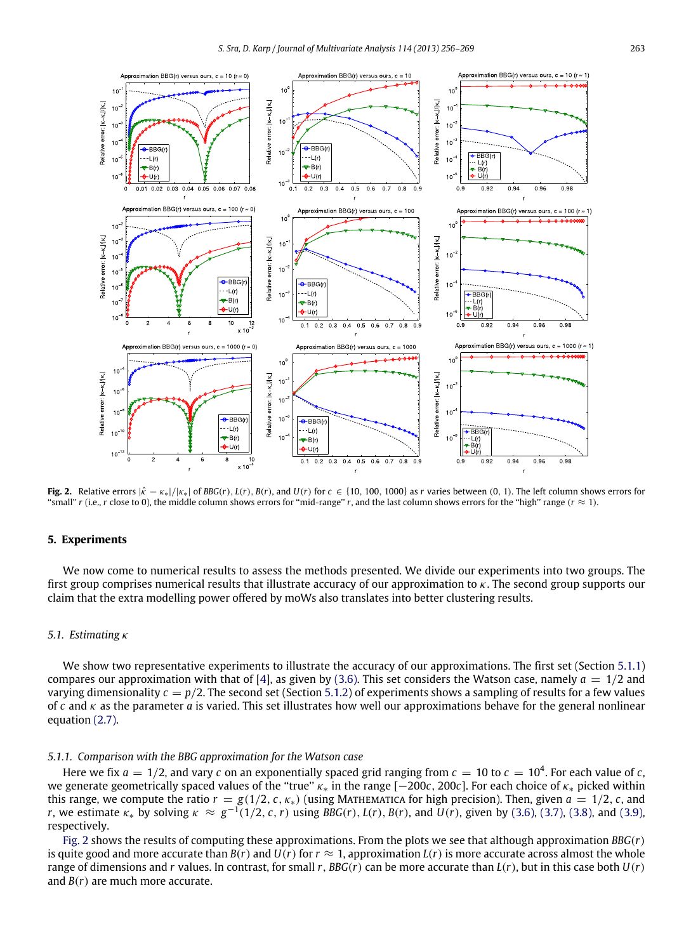<span id="page-7-0"></span>

Fig. 2. Relative errors  $|\hat{\kappa} - \kappa_{*}|/|\kappa_{*}|$  of BBG(r), L(r), B(r), and U(r) for  $c \in \{10, 100, 1000\}$  as r varies between (0, 1). The left column shows errors for "small" *r* (i.e., *r* close to 0), the middle column shows errors for "mid-range" *r*, and the last column shows errors for the "high" range ( $r \approx 1$ ).

## **5. Experiments**

We now come to numerical results to assess the methods presented. We divide our experiments into two groups. The first group comprises numerical results that illustrate accuracy of our approximation to  $\kappa$ . The second group supports our claim that the extra modelling power offered by moWs also translates into better clustering results.

## *5.1. Estimating* κ

We show two representative experiments to illustrate the accuracy of our approximations. The first set (Section [5.1.1\)](#page-7-1) compares our approximation with that of [\[4\]](#page-13-6), as given by [\(3.6\).](#page-3-0) This set considers the Watson case, namely  $a = 1/2$  and varying dimensionality  $c = p/2$ . The second set (Section [5.1.2\)](#page-8-1) of experiments shows a sampling of results for a few values of *c* and κ as the parameter *a* is varied. This set illustrates how well our approximations behave for the general nonlinear equation [\(2.7\).](#page-2-1)

## <span id="page-7-1"></span>*5.1.1. Comparison with the BBG approximation for the Watson case*

Here we fix  $a = 1/2$ , and vary c on an exponentially spaced grid ranging from  $c = 10$  to  $c = 10^4$ . For each value of c, we generate geometrically spaced values of the ''true'' κ<sup>∗</sup> in the range [−200*c*, 200*c*]. For each choice of κ<sup>∗</sup> picked within this range, we compute the ratio  $r = g(1/2, c, \kappa_*)$  (using MATHEMATICA for high precision). Then, given  $a = 1/2, c$ , and *r*, we estimate  $\kappa_*$  by solving  $\kappa \approx g^{-1}(1/2, c, r)$  using *BBG*(*r*), *L*(*r*), *B*(*r*), and *U*(*r*), given by [\(3.6\),](#page-3-0) [\(3.7\),](#page-3-4) [\(3.8\),](#page-3-5) and [\(3.9\),](#page-3-6) respectively.

[Fig. 2](#page-7-0) shows the results of computing these approximations. From the plots we see that although approximation *BBG*(*r*) is quite good and more accurate than  $B(r)$  and  $U(r)$  for  $r \approx 1$ , approximation  $L(r)$  is more accurate across almost the whole range of dimensions and *r* values. In contrast, for small *r*, *BBG*(*r*) can be more accurate than *L*(*r*), but in this case both *U*(*r*) and *B*(*r*) are much more accurate.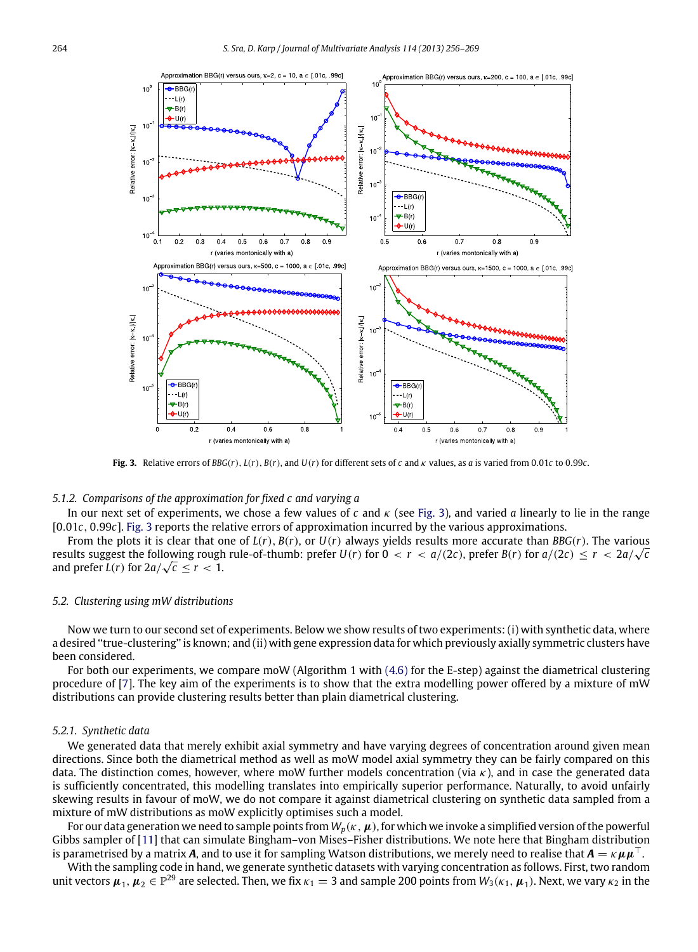<span id="page-8-2"></span>

**Fig. 3.** Relative errors of *BBG*(*r*), *L*(*r*), *B*(*r*), and *U*(*r*) for different sets of *c* and κ values, as *a* is varied from 0.01*c* to 0.99*c*.

## <span id="page-8-1"></span>*5.1.2. Comparisons of the approximation for fixed c and varying a*

In our next set of experiments, we chose a few values of  $c$  and  $\kappa$  (see [Fig. 3\)](#page-8-2), and varied *a* linearly to lie in the range [0.01*c*, 0.99*c*]. [Fig. 3](#page-8-2) reports the relative errors of approximation incurred by the various approximations.

From the plots it is clear that one of  $L(r)$ ,  $B(r)$ , or  $U(r)$  always yields results more accurate than  $BBG(r)$ . The various results suggest the following rough rule-of-thumb: prefer  $U(r)$  for  $0 < r < a/(2c)$ , prefer  $B(r)$  for  $a/(2c) \le r < 2a/\sqrt{c}$ and prefer  $L(r)$  for  $2a/\sqrt{c} \leq r < 1$ .

#### <span id="page-8-0"></span>*5.2. Clustering using mW distributions*

Now we turn to our second set of experiments. Below we show results of two experiments: (i) with synthetic data, where a desired ''true-clustering'' is known; and (ii) with gene expression data for which previously axially symmetric clusters have been considered.

For both our experiments, we compare moW (Algorithm 1 with [\(4.6\)](#page-5-2) for the E-step) against the diametrical clustering procedure of [\[7\]](#page-13-2). The key aim of the experiments is to show that the extra modelling power offered by a mixture of mW distributions can provide clustering results better than plain diametrical clustering.

#### *5.2.1. Synthetic data*

We generated data that merely exhibit axial symmetry and have varying degrees of concentration around given mean directions. Since both the diametrical method as well as moW model axial symmetry they can be fairly compared on this data. The distinction comes, however, where moW further models concentration (via  $\kappa$ ), and in case the generated data is sufficiently concentrated, this modelling translates into empirically superior performance. Naturally, to avoid unfairly skewing results in favour of moW, we do not compare it against diametrical clustering on synthetic data sampled from a mixture of mW distributions as moW explicitly optimises such a model.

For our data generation we need to sample points from  $W_p(\kappa,\mu)$ , for which we invoke a simplified version of the powerful Gibbs sampler of [\[11\]](#page-13-15) that can simulate Bingham–von Mises–Fisher distributions. We note here that Bingham distribution is parametrised by a matrix *A*, and to use it for sampling Watson distributions, we merely need to realise that  $A = \kappa \mu \mu^T$ .

With the sampling code in hand, we generate synthetic datasets with varying concentration as follows. First, two random unit vectors  $\pmb{\mu}_1,\pmb{\mu}_2\in\mathbb{P}^{29}$  are selected. Then, we fix  $\kappa_1=3$  and sample 200 points from  $W_3(\kappa_1,\pmb{\mu}_1)$ . Next, we vary  $\kappa_2$  in the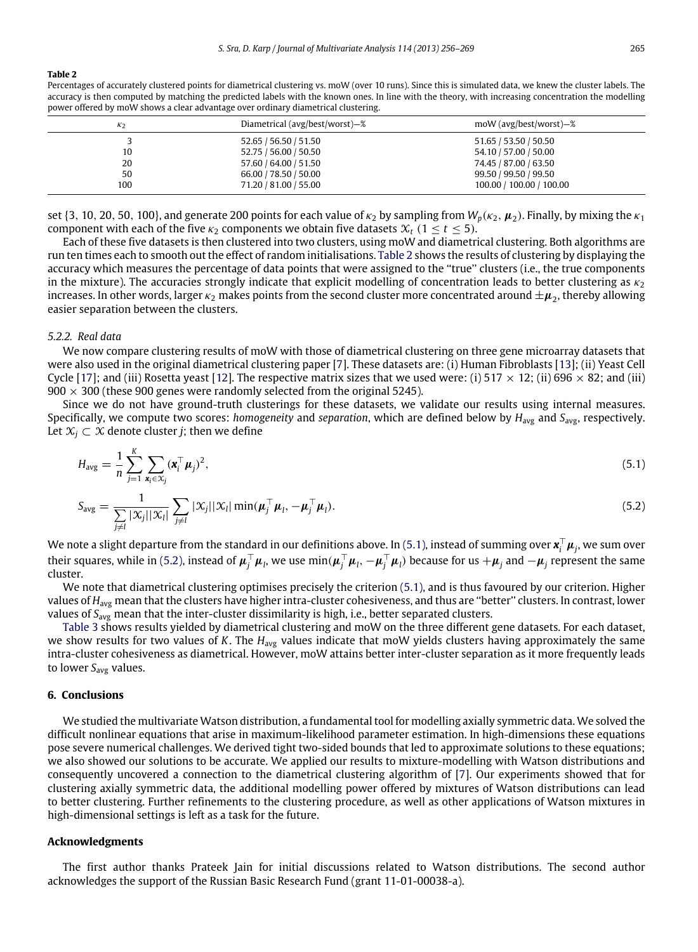#### <span id="page-9-0"></span>**Table 2**

Percentages of accurately clustered points for diametrical clustering vs. moW (over 10 runs). Since this is simulated data, we knew the cluster labels. The accuracy is then computed by matching the predicted labels with the known ones. In line with the theory, with increasing concentration the modelling power offered by moW shows a clear advantage over ordinary diametrical clustering.

| K <sub>2</sub> | Diametrical (avg/best/worst)-% | moW (avg/best/worst)–%   |
|----------------|--------------------------------|--------------------------|
|                | 52.65 / 56.50 / 51.50          | 51.65 / 53.50 / 50.50    |
| 10             | 52.75 / 56.00 / 50.50          | 54.10 / 57.00 / 50.00    |
| 20             | 57.60 / 64.00 / 51.50          | 74.45 / 87.00 / 63.50    |
| 50             | 66.00 / 78.50 / 50.00          | 99.50 / 99.50 / 99.50    |
| 100            | 71.20 / 81.00 / 55.00          | 100.00 / 100.00 / 100.00 |

set  $\{3, 10, 20, 50, 100\}$ , and generate 200 points for each value of  $\kappa_2$  by sampling from  $W_p(\kappa_2, \mu_2)$ . Finally, by mixing the  $\kappa_1$ component with each of the five  $\kappa_2$  components we obtain five datasets  $\mathcal{X}_t$  (1  $\leq$  *t*  $\leq$  5).

Each of these five datasets is then clustered into two clusters, using moW and diametrical clustering. Both algorithms are run ten times each to smooth out the effect of random initialisations. [Table 2](#page-9-0) shows the results of clustering by displaying the accuracy which measures the percentage of data points that were assigned to the ''true'' clusters (i.e., the true components in the mixture). The accuracies strongly indicate that explicit modelling of concentration leads to better clustering as  $\kappa_2$ increases. In other words, larger  $\kappa_2$  makes points from the second cluster more concentrated around  $\pm\mu_2$ , thereby allowing easier separation between the clusters.

#### *5.2.2. Real data*

We now compare clustering results of moW with those of diametrical clustering on three gene microarray datasets that were also used in the original diametrical clustering paper [\[7\]](#page-13-2). These datasets are: (i) Human Fibroblasts [\[13\]](#page-13-16); (ii) Yeast Cell Cycle [\[17\]](#page-13-17); and (iii) Rosetta yeast [\[12\]](#page-13-18). The respective matrix sizes that we used were: (i) 517  $\times$  12; (ii) 696  $\times$  82; and (iii)  $900 \times 300$  (these 900 genes were randomly selected from the original 5245).

Since we do not have ground-truth clusterings for these datasets, we validate our results using internal measures. Specifically, we compute two scores: *homogeneity* and *separation*, which are defined below by *H*avg and *S*avg, respectively. Let  $\mathcal{X}_i$  ⊂  $\mathcal{X}$  denote cluster *j*; then we define

<span id="page-9-1"></span>
$$
H_{\text{avg}} = \frac{1}{n} \sum_{j=1}^{K} \sum_{\mathbf{x}_i \in \mathcal{X}_j} (\mathbf{x}_i^{\top} \boldsymbol{\mu}_j)^2,
$$
\n(5.1)

<span id="page-9-2"></span>
$$
S_{\text{avg}} = \frac{1}{\sum_{j \neq l} |\mathcal{X}_j| |\mathcal{X}_l|} \sum_{j \neq l} |\mathcal{X}_j| |\mathcal{X}_l| \min(\boldsymbol{\mu}_j^{\top} \boldsymbol{\mu}_l, -\boldsymbol{\mu}_j^{\top} \boldsymbol{\mu}_l).
$$
(5.2)

We note a slight departure from the standard in our definitions above. In [\(5.1\),](#page-9-1) instead of summing over  $x_i^\top \mu_j$ , we sum over their squares, while in [\(5.2\),](#page-9-2) instead of  $\mu_j^\top\mu_l$ , we use  $\min(\mu_j^\top\mu_l,-\mu_j^\top\mu_l)$  because for us  $+\mu_j$  and  $-\mu_j$  represent the same cluster.

We note that diametrical clustering optimises precisely the criterion [\(5.1\),](#page-9-1) and is thus favoured by our criterion. Higher values of *H<sub>avg</sub>* mean that the clusters have higher intra-cluster cohesiveness, and thus are "better" clusters. In contrast, lower values of *S*avg mean that the inter-cluster dissimilarity is high, i.e., better separated clusters.

[Table 3](#page-10-2) shows results yielded by diametrical clustering and moW on the three different gene datasets. For each dataset, we show results for two values of *K*. The *H*avg values indicate that moW yields clusters having approximately the same intra-cluster cohesiveness as diametrical. However, moW attains better inter-cluster separation as it more frequently leads to lower *S*avg values.

#### **6. Conclusions**

We studied the multivariate Watson distribution, a fundamental tool for modelling axially symmetric data. We solved the difficult nonlinear equations that arise in maximum-likelihood parameter estimation. In high-dimensions these equations pose severe numerical challenges. We derived tight two-sided bounds that led to approximate solutions to these equations; we also showed our solutions to be accurate. We applied our results to mixture-modelling with Watson distributions and consequently uncovered a connection to the diametrical clustering algorithm of [\[7\]](#page-13-2). Our experiments showed that for clustering axially symmetric data, the additional modelling power offered by mixtures of Watson distributions can lead to better clustering. Further refinements to the clustering procedure, as well as other applications of Watson mixtures in high-dimensional settings is left as a task for the future.

#### **Acknowledgments**

The first author thanks Prateek Jain for initial discussions related to Watson distributions. The second author acknowledges the support of the Russian Basic Research Fund (grant 11-01-00038-a).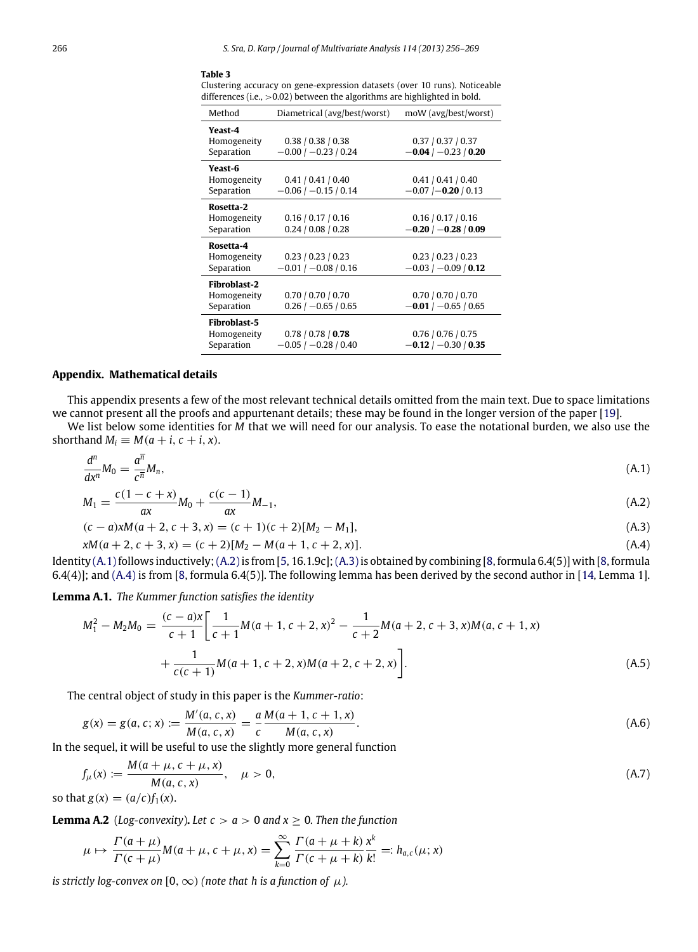#### <span id="page-10-2"></span>**Table 3**

Clustering accuracy on gene-expression datasets (over 10 runs). Noticeable differences (i.e., >0.02) between the algorithms are highlighted in bold.

<span id="page-10-3"></span>

| Method                                    | Diametrical (avg/best/worst)                   | moW (avg/best/worst)                                  |
|-------------------------------------------|------------------------------------------------|-------------------------------------------------------|
| Yeast-4<br>Homogeneity<br>Separation      | 0.38 / 0.38 / 0.38<br>$-0.00$ / $-0.23$ / 0.24 | 0.37 / 0.37 / 0.37<br>$-0.04$ / $-0.23$ / 0.20        |
| Yeast-6<br>Homogeneity<br>Separation      | 0.41 / 0.41 / 0.40<br>$-0.06$ / $-0.15$ / 0.14 | 0.41 / 0.41 / 0.40<br>$-0.07$ $(-0.20)$ 0.13          |
| Rosetta-2<br>Homogeneity<br>Separation    | 0.16 / 0.17 / 0.16<br>0.24 / 0.08 / 0.28       | 0.16 / 0.17 / 0.16<br>$-0.20$ / $-0.28$ / 0.09        |
| Rosetta-4<br>Homogeneity<br>Separation    | 0.23 / 0.23 / 0.23<br>$-0.01$ / $-0.08$ / 0.16 | 0.23 / 0.23 / 0.23<br>$-0.03$ / $-0.09$ / <b>0.12</b> |
| Fibroblast-2<br>Homogeneity<br>Separation | 0.70 / 0.70 / 0.70<br>$0.26$ / $-0.65$ / 0.65  | 0.70 / 0.70 / 0.70<br>$-0.01/ -0.65/0.65$             |
| Fibroblast-5<br>Homogeneity<br>Separation | 0.78 / 0.78 / 0.78<br>$-0.05$ / $-0.28$ / 0.40 | 0.76/0.76/0.75<br>$-0.12$ / $-0.30$ / 0.35            |

#### <span id="page-10-0"></span>**Appendix. Mathematical details**

This appendix presents a few of the most relevant technical details omitted from the main text. Due to space limitations we cannot present all the proofs and appurtenant details; these may be found in the longer version of the paper [\[19\]](#page-13-8).

We list below some identities for *M* that we will need for our analysis. To ease the notational burden, we also use the shorthand  $M_i \equiv M(a + i, c + i, x)$ .

$$
\frac{d^n}{dx^n}M_0 = \frac{a^{\overline{n}}}{c^{\overline{n}}}M_n,\tag{A.1}
$$

<span id="page-10-4"></span>
$$
M_1 = \frac{c(1 - c + x)}{ax}M_0 + \frac{c(c - 1)}{ax}M_{-1},
$$
\n(A.2)

<span id="page-10-6"></span><span id="page-10-5"></span>
$$
(c-a)xM(a+2, c+3, x) = (c+1)(c+2)[M2 - M1],
$$
\n(A.3)

$$
xM(a+2, c+3, x) = (c+2)[M2 - M(a+1, c+2, x)].
$$
\n(A.4)

Identity  $(A.1)$  follows inductively;  $(A.2)$  is from  $[5, 16.1.9c]$  $[5, 16.1.9c]$ ;  $(A.3)$  is obtained by combining  $[8,$  formula 6.4(5)] with  $[8,$  formula 6.4(4)]; and [\(A.4\)](#page-10-6) is from [\[8,](#page-13-9) formula 6.4(5)]. The following lemma has been derived by the second author in [\[14,](#page-13-20) Lemma 1].

**Lemma A.1.** *The Kummer function satisfies the identity*

<span id="page-10-8"></span>
$$
M_1^2 - M_2 M_0 = \frac{(c-a)x}{c+1} \bigg[ \frac{1}{c+1} M(a+1, c+2, x)^2 - \frac{1}{c+2} M(a+2, c+3, x) M(a, c+1, x) + \frac{1}{c(c+1)} M(a+1, c+2, x) M(a+2, c+2, x) \bigg].
$$
\n(A.5)

The central object of study in this paper is the *Kummer-ratio*:

$$
g(x) = g(a, c; x) := \frac{M'(a, c, x)}{M(a, c, x)} = \frac{a}{c} \frac{M(a + 1, c + 1, x)}{M(a, c, x)}.
$$
 (A.6)

In the sequel, it will be useful to use the slightly more general function

<span id="page-10-1"></span>
$$
f_{\mu}(x) := \frac{M(a + \mu, c + \mu, x)}{M(a, c, x)}, \quad \mu > 0,
$$
\n(A.7)

so that  $g(x) = (a/c)f_1(x)$ .

**Lemma A.2** (*Log-convexity*). Let  $c > a > 0$  and  $x \ge 0$ . Then the function

<span id="page-10-7"></span>
$$
\mu \mapsto \frac{\Gamma(a + \mu)}{\Gamma(c + \mu)} M(a + \mu, c + \mu, x) = \sum_{k=0}^{\infty} \frac{\Gamma(a + \mu + k)}{\Gamma(c + \mu + k)} \frac{x^k}{k!} =: h_{a,c}(\mu; x)
$$

*is strictly log-convex on* [0,  $\infty$ ) *(note that h is a function of*  $\mu$ *).*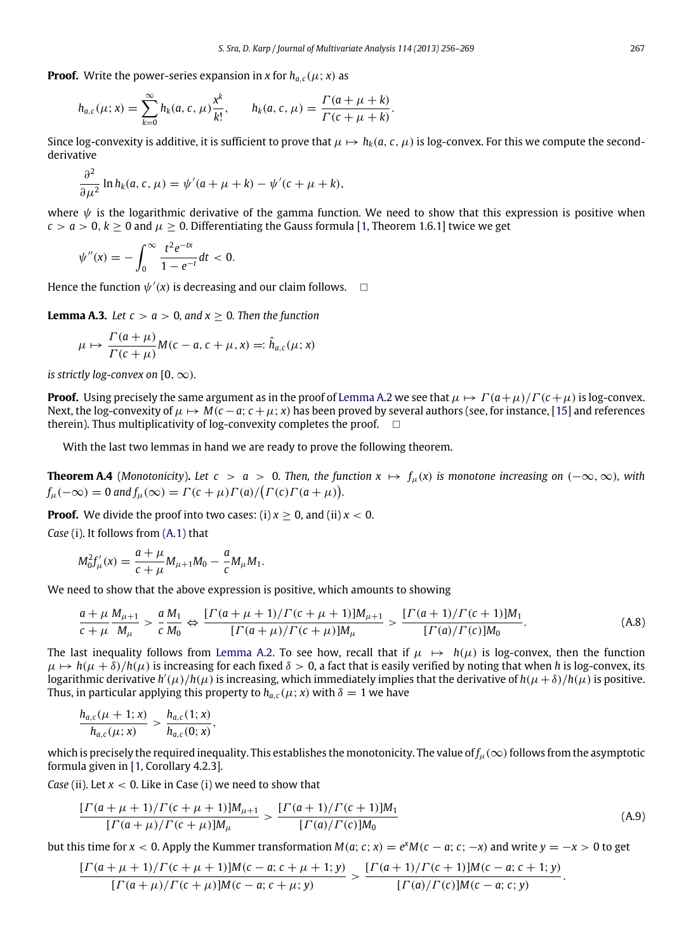**Proof.** Write the power-series expansion in *x* for  $h_{a,c}(\mu; x)$  as

$$
h_{a,c}(\mu; x) = \sum_{k=0}^{\infty} h_k(a, c, \mu) \frac{x^k}{k!}, \qquad h_k(a, c, \mu) = \frac{\Gamma(a + \mu + k)}{\Gamma(c + \mu + k)}.
$$

Since log-convexity is additive, it is sufficient to prove that  $\mu \mapsto h_k(a, c, \mu)$  is log-convex. For this we compute the secondderivative

$$
\frac{\partial^2}{\partial \mu^2} \ln h_k(a, c, \mu) = \psi'(a + \mu + k) - \psi'(c + \mu + k),
$$

where  $\psi$  is the logarithmic derivative of the gamma function. We need to show that this expression is positive when  $c > a > 0$ ,  $k > 0$  and  $\mu > 0$ . Differentiating the Gauss formula [\[1,](#page-13-10) Theorem 1.6.1] twice we get

$$
\psi''(x) = -\int_0^\infty \frac{t^2 e^{-tx}}{1 - e^{-t}} dt < 0.
$$

Hence the function  $\psi'(x)$  is decreasing and our claim follows.  $\Box$ 

**Lemma A.3.** *Let*  $c > a > 0$ *, and*  $x \ge 0$ *. Then the function* 

<span id="page-11-1"></span>
$$
\mu \mapsto \frac{\Gamma(a+\mu)}{\Gamma(c+\mu)} M(c-a, c+\mu, x) =: \hat{h}_{a,c}(\mu; x)
$$

*is strictly log-convex on*  $[0, \infty)$ *.* 

 $\overline{2}$ 

**Proof.** Using precisely the same argument as in the proof of [Lemma A.2](#page-10-7) we see that  $\mu \mapsto \Gamma(a+\mu)/\Gamma(c+\mu)$  is log-convex. Next, the log-convexity of  $\mu \mapsto M(c-a; c+\mu; x)$  has been proved by several authors (see, for instance, [\[15\]](#page-13-21) and references therein). Thus multiplicativity of log-convexity completes the proof.  $\square$ 

<span id="page-11-0"></span>With the last two lemmas in hand we are ready to prove the following theorem.

**Theorem A.4** (*Monotonicity*). Let  $c > a > 0$ . Then, the function  $x \mapsto f_u(x)$  is monotone increasing on  $(-\infty, \infty)$ *, with*  $f_\mu(-\infty) = 0$  and  $f_\mu(\infty) = \Gamma(c + \mu)\Gamma(a)/(\Gamma(c)\Gamma(a + \mu)).$ 

**Proof.** We divide the proof into two cases: (i)  $x > 0$ , and (ii)  $x < 0$ .

*Case* (i). It follows from [\(A.1\)](#page-10-3) that

$$
M_0^2 f'_{\mu}(x) = \frac{a + \mu}{c + \mu} M_{\mu+1} M_0 - \frac{a}{c} M_{\mu} M_1.
$$

We need to show that the above expression is positive, which amounts to showing

<span id="page-11-2"></span>
$$
\frac{a+\mu}{c+\mu}\frac{M_{\mu+1}}{M_{\mu}} > \frac{a}{c}\frac{M_1}{M_0} \Leftrightarrow \frac{\left[\Gamma(a+\mu+1)/\Gamma(c+\mu+1)\right]M_{\mu+1}}{\left[\Gamma(a+\mu)/\Gamma(c+\mu)\right]M_{\mu}} > \frac{\left[\Gamma(a+1)/\Gamma(c+1)\right]M_1}{\left[\Gamma(a)/\Gamma(c)\right]M_0}.
$$
\n(A.8)

The last inequality follows from [Lemma A.2.](#page-10-7) To see how, recall that if  $\mu \mapsto h(\mu)$  is log-convex, then the function  $\mu \mapsto h(\mu + \delta)/h(\mu)$  is increasing for each fixed  $\delta > 0$ , a fact that is easily verified by noting that when h is log-convex, its  $\hat{f}$  logarithmic derivative  $h'(\mu)/h(\mu)$  is increasing, which immediately implies that the derivative of  $h(\mu+\delta)/h(\mu)$  is positive. Thus, in particular applying this property to  $h_{a,c}(\mu; x)$  with  $\delta = 1$  we have

$$
\frac{h_{a,c}(\mu+1;x)}{h_{a,c}(\mu;x)} > \frac{h_{a,c}(1;x)}{h_{a,c}(0;x)},
$$

which is precisely the required inequality. This establishes the monotonicity. The value of  $f_\mu(\infty)$  follows from the asymptotic formula given in [\[1,](#page-13-10) Corollary 4.2.3].

*Case* (ii). Let *x* < 0. Like in Case (i) we need to show that

$$
\frac{\left[\Gamma(a+\mu+1)/\Gamma(c+\mu+1)\right]M_{\mu+1}}{\left[\Gamma(a+\mu)/\Gamma(c+\mu)\right]M_{\mu}} > \frac{\left[\Gamma(a+1)/\Gamma(c+1)\right]M_1}{\left[\Gamma(a)/\Gamma(c)\right]M_0} \tag{A.9}
$$

but this time for  $x < 0$ . Apply the Kummer transformation  $M(a; c; x) = e^x M(c - a; c; -x)$  and write  $y = -x > 0$  to get

$$
\frac{\left[\Gamma(a+\mu+1)/\Gamma(c+\mu+1)\right]M(c-a;c+\mu+1;y)}{\left[\Gamma(a+\mu)/\Gamma(c+\mu)\right]M(c-a;c+\mu;y)}>\frac{\left[\Gamma(a+1)/\Gamma(c+1)\right]M(c-a;c+1;y)}{\left[\Gamma(a)/\Gamma(c)\right]M(c-a;c;y)}.
$$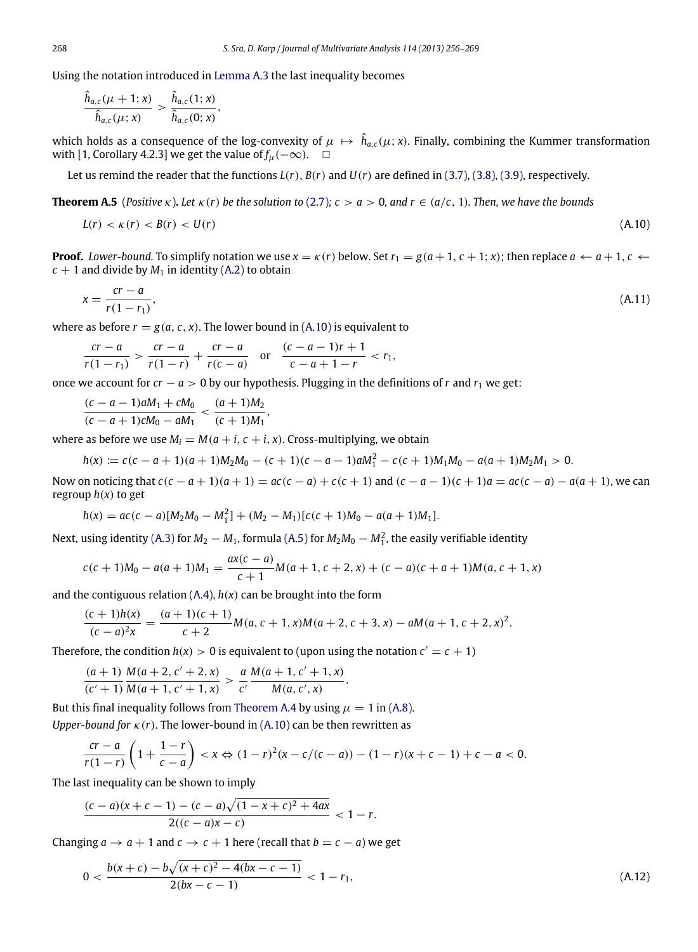Using the notation introduced in [Lemma A.3](#page-11-1) the last inequality becomes

$$
\frac{\hat{h}_{a,c}(\mu+1;x)}{\hat{h}_{a,c}(\mu;x)} > \frac{\hat{h}_{a,c}(1;x)}{\hat{h}_{a,c}(0;x)},
$$

which holds as a consequence of the log-convexity of  $\mu\, \mapsto\, \hat h_{a,c}(\mu;x)$ . Finally, combining the Kummer transformation with [\[1,](#page-13-10) Corollary 4.2.3] we get the value of  $f_u(-\infty)$ . □

Let us remind the reader that the functions  $L(r)$ ,  $B(r)$  and  $U(r)$  are defined in [\(3.7\),](#page-3-4) [\(3.8\),](#page-3-5) [\(3.9\),](#page-3-6) respectively.

**Theorem A.5** (*Positive κ*). Let  $\kappa(r)$  be the solution to [\(2.7\)](#page-2-1);  $c > a > 0$ , and  $r \in (a/c, 1)$ . Then, we have the bounds

<span id="page-12-2"></span><span id="page-12-1"></span><span id="page-12-0"></span>
$$
L(r) < \kappa(r) < B(r) < U(r) \tag{A.10}
$$

**Proof.** Lower-bound. To simplify notation we use  $x = \kappa(r)$  below. Set  $r_1 = g(a+1, c+1; x)$ ; then replace  $a \leftarrow a+1, c \leftarrow a+1$  $c + 1$  and divide by  $M_1$  in identity [\(A.2\)](#page-10-4) to obtain

$$
x = \frac{cr - a}{r(1 - r_1)},\tag{A.11}
$$

where as before  $r = g(a, c, x)$ . The lower bound in [\(A.10\)](#page-12-1) is equivalent to

$$
\frac{cr-a}{r(1-r_1)} > \frac{cr-a}{r(1-r)} + \frac{cr-a}{r(c-a)} \quad \text{or} \quad \frac{(c-a-1)r+1}{c-a+1-r} < r_1,
$$

once we account for  $cr - a > 0$  by our hypothesis. Plugging in the definitions of *r* and  $r_1$  we get:

$$
\frac{(c-a-1)aM_1 + cM_0}{(c-a+1)cM_0 - aM_1} < \frac{(a+1)M_2}{(c+1)M_1},
$$

where as before we use  $M_i = M(a + i, c + i, x)$ . Cross-multiplying, we obtain

$$
h(x) := c(c-a+1)(a+1)M_2M_0 - (c+1)(c-a-1)aM_1^2 - c(c+1)M_1M_0 - a(a+1)M_2M_1 > 0.
$$

Now on noticing that  $c(c-a+1)(a+1) = ac(c-a) + c(c+1)$  and  $(c-a-1)(c+1)a = ac(c-a) - a(a+1)$ , we can regroup  $h(x)$  to get

$$
h(x) = ac(c-a)[M_2M_0 - M_1^2] + (M_2 - M_1)[c(c+1)M_0 - a(a+1)M_1].
$$

Next, using identity [\(A.3\)](#page-10-5) for  $M_2 - M_1$ , formula [\(A.5\)](#page-10-8) for  $M_2M_0 - M_1^2$ , the easily verifiable identity

$$
c(c+1)M_0 - a(a+1)M_1 = \frac{ax(c-a)}{c+1}M(a+1, c+2, x) + (c-a)(c+a+1)M(a, c+1, x)
$$

and the contiguous relation  $(A.4)$ ,  $h(x)$  can be brought into the form

$$
\frac{(c+1)h(x)}{(c-a)^2x} = \frac{(a+1)(c+1)}{c+2}M(a, c+1, x)M(a+2, c+3, x) - aM(a+1, c+2, x)^2.
$$

Therefore, the condition  $h(x) > 0$  is equivalent to (upon using the notation  $c' = c + 1$ )

$$
\frac{(a+1)}{(c'+1)}\frac{M(a+2,c'+2,x)}{M(a+1,c'+1,x)} > \frac{a}{c'}\frac{M(a+1,c'+1,x)}{M(a,c',x)}.
$$

But this final inequality follows from [Theorem A.4](#page-11-0) by using  $\mu = 1$  in [\(A.8\).](#page-11-2) *Upper-bound for* κ(*r*). The lower-bound in [\(A.10\)](#page-12-1) can be then rewritten as

$$
m = 2 \left(1 - \frac{1}{2}\right)
$$

$$
\frac{cr-a}{r(1-r)}\left(1+\frac{1-r}{c-a}\right) < x \Leftrightarrow (1-r)^2(x-c/(c-a)) - (1-r)(x+c-1) + c - a < 0.
$$

The last inequality can be shown to imply

<span id="page-12-3"></span>
$$
\frac{(c-a)(x+c-1)-(c-a)\sqrt{(1-x+c)^2+4ax}}{2((c-a)x-c)}<1-r.
$$

Changing  $a \rightarrow a + 1$  and  $c \rightarrow c + 1$  here (recall that  $b = c - a$ ) we get

$$
0 < \frac{b(x+c) - b\sqrt{(x+c)^2 - 4(bx-c-1)}}{2(bx-c-1)} < 1 - r_1,\tag{A.12}
$$

*h*ˆ